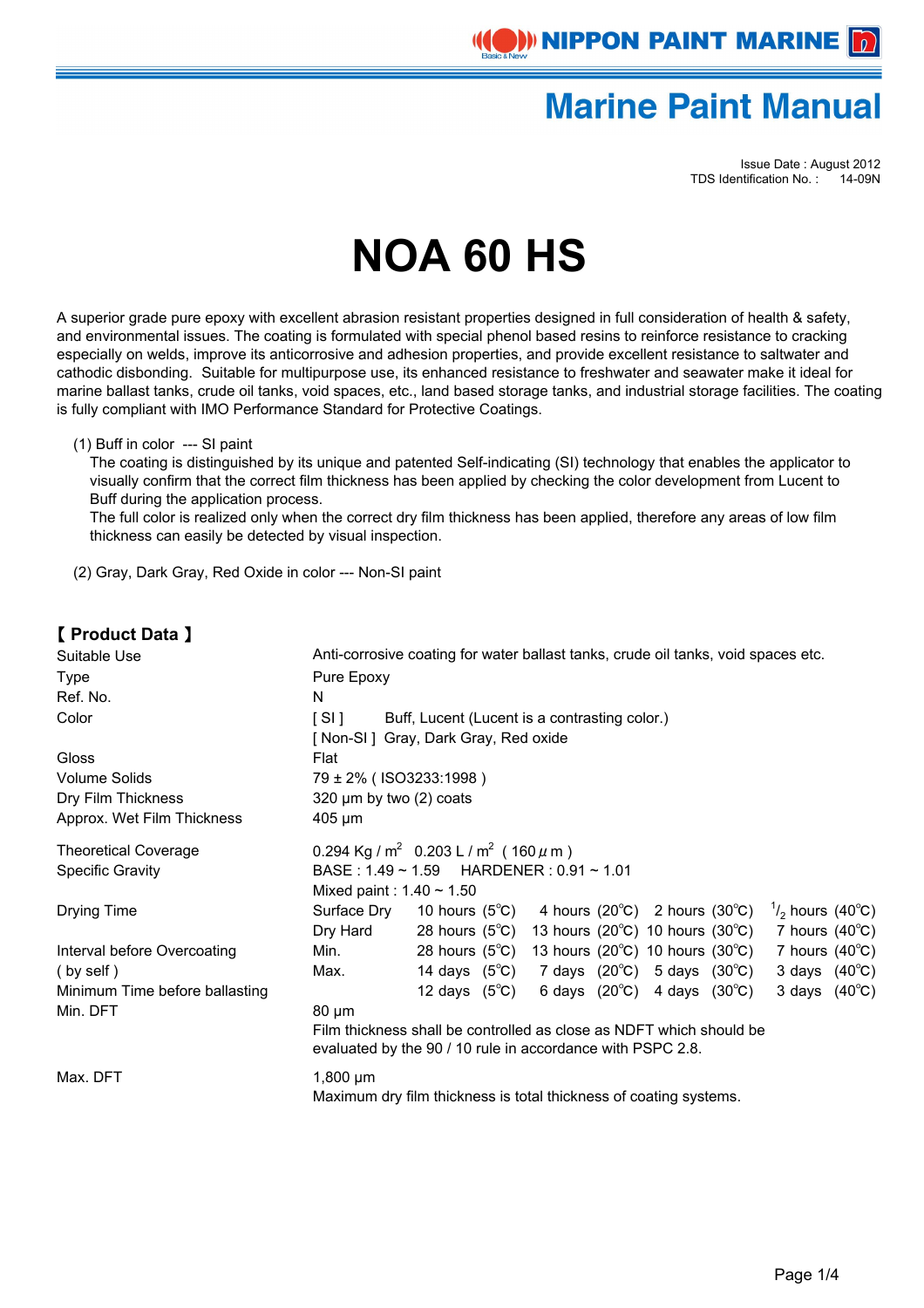

Issue Date : August 2012 TDS Identification No. : 14-09N

# **NOA 60 HS**

A superior grade pure epoxy with excellent abrasion resistant properties designed in full consideration of health & safety, and environmental issues. The coating is formulated with special phenol based resins to reinforce resistance to cracking especially on welds, improve its anticorrosive and adhesion properties, and provide excellent resistance to saltwater and cathodic disbonding. Suitable for multipurpose use, its enhanced resistance to freshwater and seawater make it ideal for marine ballast tanks, crude oil tanks, void spaces, etc., land based storage tanks, and industrial storage facilities. The coating is fully compliant with IMO Performance Standard for Protective Coatings.

(1) Buff in color --- SI paint

 The coating is distinguished by its unique and patented Self-indicating (SI) technology that enables the applicator to visually confirm that the correct film thickness has been applied by checking the color development from Lucent to Buff during the application process.

 The full color is realized only when the correct dry film thickness has been applied, therefore any areas of low film thickness can easily be detected by visual inspection.

(2) Gray, Dark Gray, Red Oxide in color --- Non-SI paint

### 【 **Product Data** 】

| Suitable Use                   | Anti-corrosive coating for water ballast tanks, crude oil tanks, void spaces etc. |                                                                                                       |  |  |                                                             |  |                         |  |
|--------------------------------|-----------------------------------------------------------------------------------|-------------------------------------------------------------------------------------------------------|--|--|-------------------------------------------------------------|--|-------------------------|--|
| Type                           | Pure Epoxy                                                                        |                                                                                                       |  |  |                                                             |  |                         |  |
| Ref. No.                       | N                                                                                 |                                                                                                       |  |  |                                                             |  |                         |  |
| Color                          | [SI]<br>Buff, Lucent (Lucent is a contrasting color.)                             |                                                                                                       |  |  |                                                             |  |                         |  |
|                                |                                                                                   | [Non-SI] Gray, Dark Gray, Red oxide                                                                   |  |  |                                                             |  |                         |  |
| Gloss                          | Flat                                                                              |                                                                                                       |  |  |                                                             |  |                         |  |
| <b>Volume Solids</b>           | 79 ± 2% (ISO3233:1998)                                                            |                                                                                                       |  |  |                                                             |  |                         |  |
| Dry Film Thickness             | 320 $\mu$ m by two (2) coats                                                      |                                                                                                       |  |  |                                                             |  |                         |  |
| Approx. Wet Film Thickness     | $405 \mu m$                                                                       |                                                                                                       |  |  |                                                             |  |                         |  |
| <b>Theoretical Coverage</b>    |                                                                                   | 0.294 Kg / m <sup>2</sup> 0.203 L / m <sup>2</sup> (160 $\mu$ m)                                      |  |  |                                                             |  |                         |  |
| <b>Specific Gravity</b>        | BASE: $1.49 \sim 1.59$ HARDENER: $0.91 \sim 1.01$                                 |                                                                                                       |  |  |                                                             |  |                         |  |
|                                | Mixed paint: $1.40 \sim 1.50$                                                     |                                                                                                       |  |  |                                                             |  |                         |  |
| Drying Time                    | Surface Dry                                                                       | 10 hours (5°C) 4 hours (20°C) 2 hours (30°C) $\frac{1}{2}$ hours (40°C)                               |  |  |                                                             |  |                         |  |
|                                | Dry Hard                                                                          | 28 hours (5 $\degree$ C) 13 hours (20 $\degree$ C) 10 hours (30 $\degree$ C) 7 hours (40 $\degree$ C) |  |  |                                                             |  |                         |  |
| Interval before Overcoating    | Min.                                                                              | 28 hours (5 $\degree$ C) 13 hours (20 $\degree$ C) 10 hours (30 $\degree$ C)                          |  |  |                                                             |  | 7 hours $(40^{\circ}C)$ |  |
| $(by)$ self $)$                | Max.                                                                              | 14 days $(5^{\circ}C)$                                                                                |  |  | 7 days $(20^{\circ}\text{C})$ 5 days $(30^{\circ}\text{C})$ |  | 3 days $(40^{\circ}C)$  |  |
| Minimum Time before ballasting |                                                                                   | 12 days $(5^{\circ}C)$                                                                                |  |  | 6 days $(20^{\circ}C)$ 4 days $(30^{\circ}C)$               |  | 3 days $(40^{\circ}C)$  |  |
| Min. DFT                       | $80 \mu m$                                                                        |                                                                                                       |  |  |                                                             |  |                         |  |
|                                |                                                                                   | Film thickness shall be controlled as close as NDFT which should be                                   |  |  |                                                             |  |                         |  |
|                                |                                                                                   | evaluated by the 90 / 10 rule in accordance with PSPC 2.8.                                            |  |  |                                                             |  |                         |  |
| Max. DFT                       | $1,800 \mu m$                                                                     |                                                                                                       |  |  |                                                             |  |                         |  |
|                                | Maximum dry film thickness is total thickness of coating systems.                 |                                                                                                       |  |  |                                                             |  |                         |  |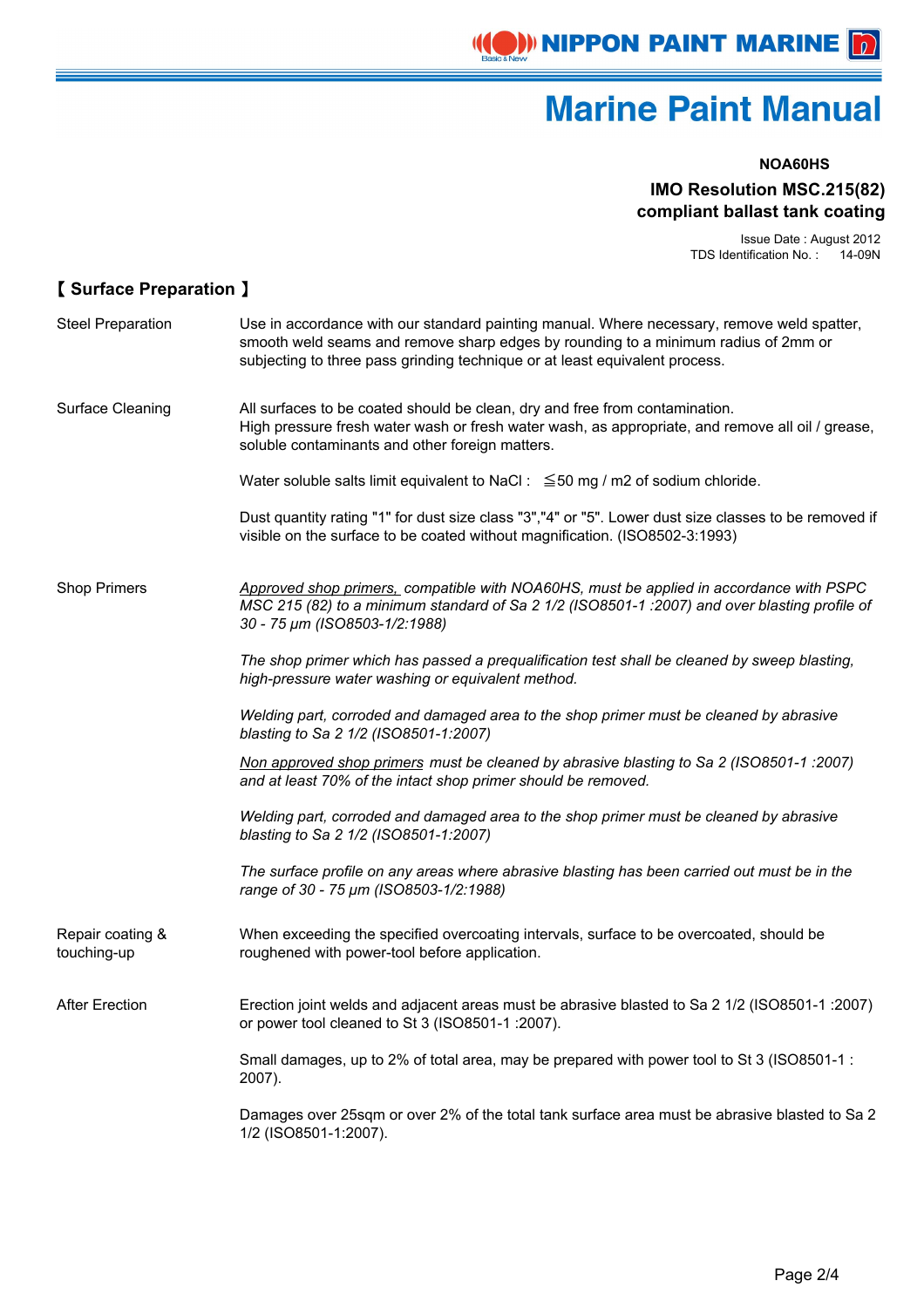

#### **NOA60HS**

#### **IMO Resolution MSC.215(82) compliant ballast tank coating**

Issue Date : August 2012 TDS Identification No. : 14-09N

### 【 **Surface Preparation** 】

| <b>Steel Preparation</b>        | Use in accordance with our standard painting manual. Where necessary, remove weld spatter,<br>smooth weld seams and remove sharp edges by rounding to a minimum radius of 2mm or<br>subjecting to three pass grinding technique or at least equivalent process. |
|---------------------------------|-----------------------------------------------------------------------------------------------------------------------------------------------------------------------------------------------------------------------------------------------------------------|
| Surface Cleaning                | All surfaces to be coated should be clean, dry and free from contamination.<br>High pressure fresh water wash or fresh water wash, as appropriate, and remove all oil / grease,<br>soluble contaminants and other foreign matters.                              |
|                                 | Water soluble salts limit equivalent to NaCl: $\leq$ 50 mg / m2 of sodium chloride.                                                                                                                                                                             |
|                                 | Dust quantity rating "1" for dust size class "3","4" or "5". Lower dust size classes to be removed if<br>visible on the surface to be coated without magnification. (ISO8502-3:1993)                                                                            |
| <b>Shop Primers</b>             | Approved shop primers, compatible with NOA60HS, must be applied in accordance with PSPC<br>MSC 215 (82) to a minimum standard of Sa 2 1/2 (ISO8501-1 :2007) and over blasting profile of<br>30 - 75 µm (ISO8503-1/2:1988)                                       |
|                                 | The shop primer which has passed a prequalification test shall be cleaned by sweep blasting,<br>high-pressure water washing or equivalent method.                                                                                                               |
|                                 | Welding part, corroded and damaged area to the shop primer must be cleaned by abrasive<br>blasting to Sa 2 1/2 (ISO8501-1:2007)                                                                                                                                 |
|                                 | Non approved shop primers must be cleaned by abrasive blasting to Sa 2 (ISO8501-1 :2007)<br>and at least 70% of the intact shop primer should be removed.                                                                                                       |
|                                 | Welding part, corroded and damaged area to the shop primer must be cleaned by abrasive<br>blasting to Sa 2 1/2 (ISO8501-1:2007)                                                                                                                                 |
|                                 | The surface profile on any areas where abrasive blasting has been carried out must be in the<br>range of 30 - 75 µm (ISO8503-1/2:1988)                                                                                                                          |
| Repair coating &<br>touching-up | When exceeding the specified overcoating intervals, surface to be overcoated, should be<br>roughened with power-tool before application.                                                                                                                        |
| <b>After Erection</b>           | Erection joint welds and adjacent areas must be abrasive blasted to Sa 2 1/2 (ISO8501-1 :2007)<br>or power tool cleaned to St 3 (ISO8501-1 :2007).                                                                                                              |
|                                 | Small damages, up to 2% of total area, may be prepared with power tool to St 3 (ISO8501-1 :<br>2007).                                                                                                                                                           |
|                                 | Damages over 25sqm or over 2% of the total tank surface area must be abrasive blasted to Sa 2<br>1/2 (ISO8501-1:2007).                                                                                                                                          |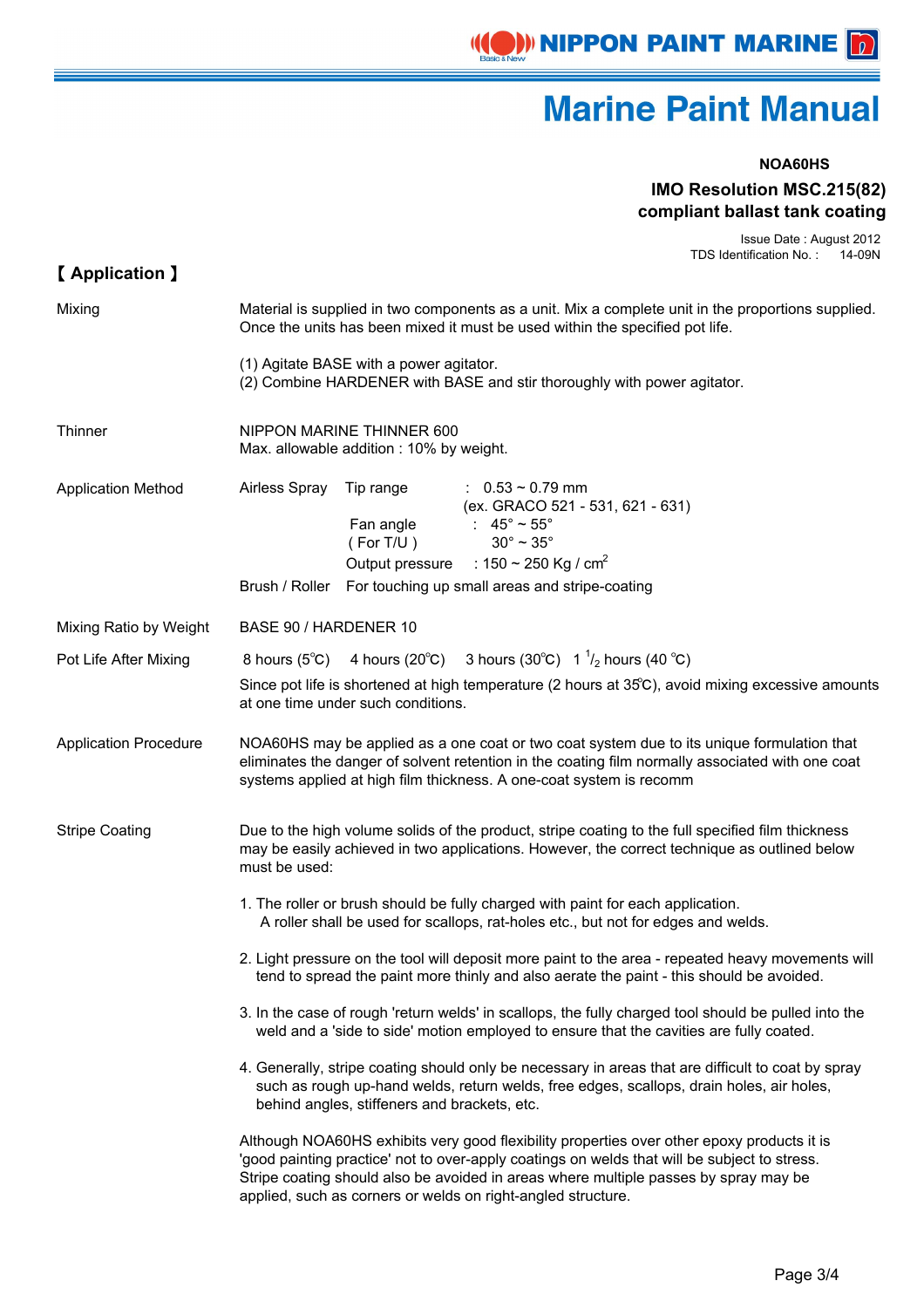#### **NOA60HS**

#### **IMO Resolution MSC.215(82) compliant ballast tank coating**

Issue Date : August 2012 TDS Identification No. : 14-09N

| <b>[Application ]</b>        |                                                                                                                                                                                                                                                                                                                                                    |  |  |  |  |  |
|------------------------------|----------------------------------------------------------------------------------------------------------------------------------------------------------------------------------------------------------------------------------------------------------------------------------------------------------------------------------------------------|--|--|--|--|--|
| Mixing                       | Material is supplied in two components as a unit. Mix a complete unit in the proportions supplied.<br>Once the units has been mixed it must be used within the specified pot life.                                                                                                                                                                 |  |  |  |  |  |
|                              | (1) Agitate BASE with a power agitator.<br>(2) Combine HARDENER with BASE and stir thoroughly with power agitator.                                                                                                                                                                                                                                 |  |  |  |  |  |
| Thinner                      | NIPPON MARINE THINNER 600<br>Max. allowable addition: 10% by weight.                                                                                                                                                                                                                                                                               |  |  |  |  |  |
| <b>Application Method</b>    | Airless Spray<br>Tip range<br>$: 0.53 \sim 0.79$ mm<br>(ex. GRACO 521 - 531, 621 - 631)<br>Fan angle<br>: $45^{\circ} \approx 55^{\circ}$<br>$30^\circ \sim 35^\circ$<br>(For T/U )<br>Output pressure : $150 \sim 250$ Kg / cm <sup>2</sup><br>Brush / Roller For touching up small areas and stripe-coating                                      |  |  |  |  |  |
|                              |                                                                                                                                                                                                                                                                                                                                                    |  |  |  |  |  |
| Mixing Ratio by Weight       | BASE 90 / HARDENER 10                                                                                                                                                                                                                                                                                                                              |  |  |  |  |  |
| Pot Life After Mixing        | 4 hours (20°C) 3 hours (30°C) $1^{1/2}$ hours (40 °C)<br>8 hours $(5^{\circ}C)$                                                                                                                                                                                                                                                                    |  |  |  |  |  |
|                              | Since pot life is shortened at high temperature (2 hours at 35°C), avoid mixing excessive amounts<br>at one time under such conditions.                                                                                                                                                                                                            |  |  |  |  |  |
| <b>Application Procedure</b> | NOA60HS may be applied as a one coat or two coat system due to its unique formulation that<br>eliminates the danger of solvent retention in the coating film normally associated with one coat<br>systems applied at high film thickness. A one-coat system is recomm                                                                              |  |  |  |  |  |
| <b>Stripe Coating</b>        | Due to the high volume solids of the product, stripe coating to the full specified film thickness<br>may be easily achieved in two applications. However, the correct technique as outlined below<br>must be used:                                                                                                                                 |  |  |  |  |  |
|                              | 1. The roller or brush should be fully charged with paint for each application.<br>A roller shall be used for scallops, rat-holes etc., but not for edges and welds.                                                                                                                                                                               |  |  |  |  |  |
|                              | 2. Light pressure on the tool will deposit more paint to the area - repeated heavy movements will<br>tend to spread the paint more thinly and also aerate the paint - this should be avoided.                                                                                                                                                      |  |  |  |  |  |
|                              | 3. In the case of rough 'return welds' in scallops, the fully charged tool should be pulled into the<br>weld and a 'side to side' motion employed to ensure that the cavities are fully coated.                                                                                                                                                    |  |  |  |  |  |
|                              | 4. Generally, stripe coating should only be necessary in areas that are difficult to coat by spray<br>such as rough up-hand welds, return welds, free edges, scallops, drain holes, air holes,<br>behind angles, stiffeners and brackets, etc.                                                                                                     |  |  |  |  |  |
|                              | Although NOA60HS exhibits very good flexibility properties over other epoxy products it is<br>'good painting practice' not to over-apply coatings on welds that will be subject to stress.<br>Stripe coating should also be avoided in areas where multiple passes by spray may be<br>applied, such as corners or welds on right-angled structure. |  |  |  |  |  |